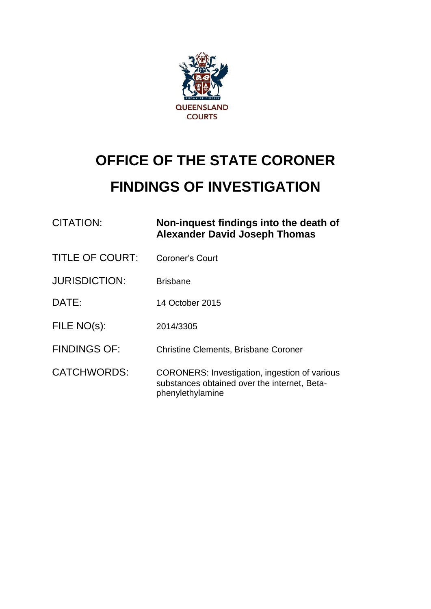

# **OFFICE OF THE STATE CORONER FINDINGS OF INVESTIGATION**

| <b>CITATION:</b>       | Non-inquest findings into the death of<br><b>Alexander David Joseph Thomas</b>                                           |
|------------------------|--------------------------------------------------------------------------------------------------------------------------|
| <b>TITLE OF COURT:</b> | Coroner's Court                                                                                                          |
| <b>JURISDICTION:</b>   | <b>Brisbane</b>                                                                                                          |
| DATE:                  | 14 October 2015                                                                                                          |
| FILE NO(s):            | 2014/3305                                                                                                                |
| <b>FINDINGS OF:</b>    | <b>Christine Clements, Brisbane Coroner</b>                                                                              |
| <b>CATCHWORDS:</b>     | <b>CORONERS:</b> Investigation, ingestion of various<br>substances obtained over the internet, Beta-<br>phenylethylamine |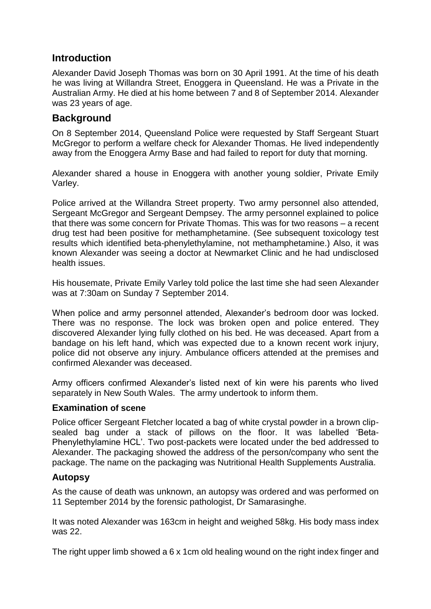# **Introduction**

Alexander David Joseph Thomas was born on 30 April 1991. At the time of his death he was living at Willandra Street, Enoggera in Queensland. He was a Private in the Australian Army. He died at his home between 7 and 8 of September 2014. Alexander was 23 years of age.

## **Background**

On 8 September 2014, Queensland Police were requested by Staff Sergeant Stuart McGregor to perform a welfare check for Alexander Thomas. He lived independently away from the Enoggera Army Base and had failed to report for duty that morning.

Alexander shared a house in Enoggera with another young soldier, Private Emily Varley.

Police arrived at the Willandra Street property. Two army personnel also attended, Sergeant McGregor and Sergeant Dempsey. The army personnel explained to police that there was some concern for Private Thomas. This was for two reasons – a recent drug test had been positive for methamphetamine. (See subsequent toxicology test results which identified beta-phenylethylamine, not methamphetamine.) Also, it was known Alexander was seeing a doctor at Newmarket Clinic and he had undisclosed health issues.

His housemate, Private Emily Varley told police the last time she had seen Alexander was at 7:30am on Sunday 7 September 2014.

When police and army personnel attended, Alexander's bedroom door was locked. There was no response. The lock was broken open and police entered. They discovered Alexander lying fully clothed on his bed. He was deceased. Apart from a bandage on his left hand, which was expected due to a known recent work injury, police did not observe any injury. Ambulance officers attended at the premises and confirmed Alexander was deceased.

Army officers confirmed Alexander's listed next of kin were his parents who lived separately in New South Wales. The army undertook to inform them.

### **Examination of scene**

Police officer Sergeant Fletcher located a bag of white crystal powder in a brown clipsealed bag under a stack of pillows on the floor. It was labelled 'Beta-Phenylethylamine HCL'. Two post-packets were located under the bed addressed to Alexander. The packaging showed the address of the person/company who sent the package. The name on the packaging was Nutritional Health Supplements Australia.

## **Autopsy**

As the cause of death was unknown, an autopsy was ordered and was performed on 11 September 2014 by the forensic pathologist, Dr Samarasinghe.

It was noted Alexander was 163cm in height and weighed 58kg. His body mass index was 22.

The right upper limb showed a 6 x 1cm old healing wound on the right index finger and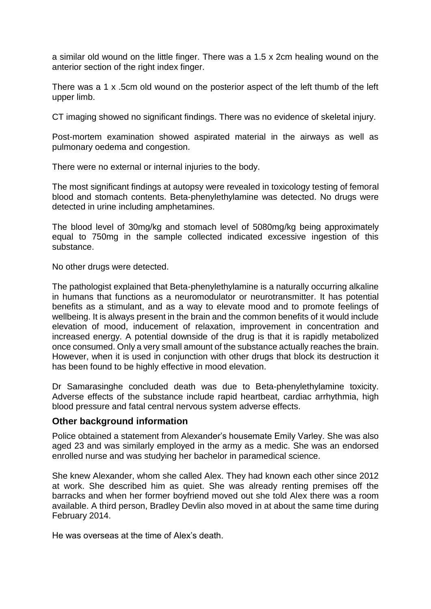a similar old wound on the little finger. There was a 1.5 x 2cm healing wound on the anterior section of the right index finger.

There was a 1 x .5cm old wound on the posterior aspect of the left thumb of the left upper limb.

CT imaging showed no significant findings. There was no evidence of skeletal injury.

Post-mortem examination showed aspirated material in the airways as well as pulmonary oedema and congestion.

There were no external or internal injuries to the body.

The most significant findings at autopsy were revealed in toxicology testing of femoral blood and stomach contents. Beta-phenylethylamine was detected. No drugs were detected in urine including amphetamines.

The blood level of 30mg/kg and stomach level of 5080mg/kg being approximately equal to 750mg in the sample collected indicated excessive ingestion of this substance.

No other drugs were detected.

The pathologist explained that Beta-phenylethylamine is a naturally occurring alkaline in humans that functions as a neuromodulator or neurotransmitter. It has potential benefits as a stimulant, and as a way to elevate mood and to promote feelings of wellbeing. It is always present in the brain and the common benefits of it would include elevation of mood, inducement of relaxation, improvement in concentration and increased energy. A potential downside of the drug is that it is rapidly metabolized once consumed. Only a very small amount of the substance actually reaches the brain. However, when it is used in conjunction with other drugs that block its destruction it has been found to be highly effective in mood elevation.

Dr Samarasinghe concluded death was due to Beta-phenylethylamine toxicity. Adverse effects of the substance include rapid heartbeat, cardiac arrhythmia, high blood pressure and fatal central nervous system adverse effects.

### **Other background information**

Police obtained a statement from Alexander's housemate Emily Varley. She was also aged 23 and was similarly employed in the army as a medic. She was an endorsed enrolled nurse and was studying her bachelor in paramedical science.

She knew Alexander, whom she called Alex. They had known each other since 2012 at work. She described him as quiet. She was already renting premises off the barracks and when her former boyfriend moved out she told Alex there was a room available. A third person, Bradley Devlin also moved in at about the same time during February 2014.

He was overseas at the time of Alex's death.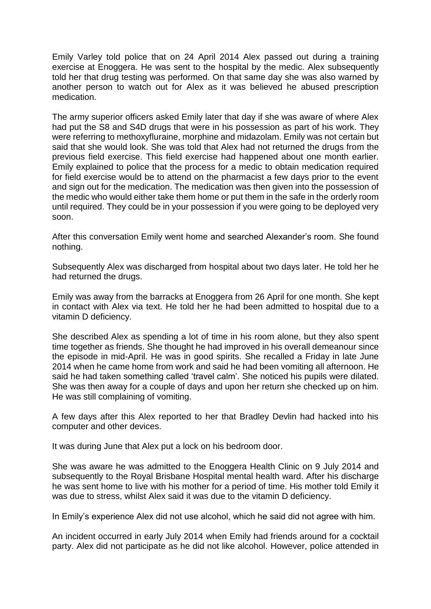Emily Varley told police that on 24 April 2014 Alex passed out during a training exercise at Enoggera. He was sent to the hospital by the medic. Alex subsequently told her that drug testing was performed. On that same day she was also warned by another person to watch out for Alex as it was believed he abused prescription medication.

The army superior officers asked Emily later that day if she was aware of where Alex had put the S8 and S4D drugs that were in his possession as part of his work. They were referring to methoxyfluraine, morphine and midazolam. Emily was not certain but said that she would look. She was told that Alex had not returned the drugs from the previous field exercise. This field exercise had happened about one month earlier. Emily explained to police that the process for a medic to obtain medication required for field exercise would be to attend on the pharmacist a few days prior to the event and sign out for the medication. The medication was then given into the possession of the medic who would either take them home or put them in the safe in the orderly room until required. They could be in your possession if you were going to be deployed very soon.

After this conversation Emily went home and searched Alexander's room. She found nothing.

Subsequently Alex was discharged from hospital about two days later. He told her he had returned the drugs.

Emily was away from the barracks at Enoggera from 26 April for one month. She kept in contact with Alex via text. He told her he had been admitted to hospital due to a vitamin D deficiency.

She described Alex as spending a lot of time in his room alone, but they also spent time together as friends. She thought he had improved in his overall demeanour since the episode in mid-April. He was in good spirits. She recalled a Friday in late June 2014 when he came home from work and said he had been vomiting all afternoon. He said he had taken something called 'travel calm'. She noticed his pupils were dilated. She was then away for a couple of days and upon her return she checked up on him. He was still complaining of vomiting.

A few days after this Alex reported to her that Bradley Devlin had hacked into his computer and other devices.

It was during June that Alex put a lock on his bedroom door.

She was aware he was admitted to the Enoggera Health Clinic on 9 July 2014 and subsequently to the Royal Brisbane Hospital mental health ward. After his discharge he was sent home to live with his mother for a period of time. His mother told Emily it was due to stress, whilst Alex said it was due to the vitamin D deficiency.

In Emily's experience Alex did not use alcohol, which he said did not agree with him.

An incident occurred in early July 2014 when Emily had friends around for a cocktail party. Alex did not participate as he did not like alcohol. However, police attended in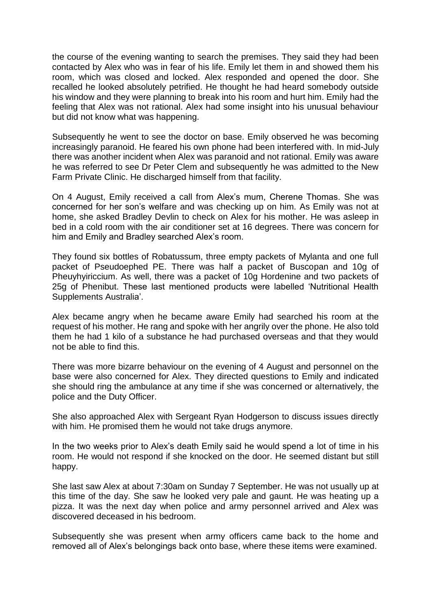the course of the evening wanting to search the premises. They said they had been contacted by Alex who was in fear of his life. Emily let them in and showed them his room, which was closed and locked. Alex responded and opened the door. She recalled he looked absolutely petrified. He thought he had heard somebody outside his window and they were planning to break into his room and hurt him. Emily had the feeling that Alex was not rational. Alex had some insight into his unusual behaviour but did not know what was happening.

Subsequently he went to see the doctor on base. Emily observed he was becoming increasingly paranoid. He feared his own phone had been interfered with. In mid-July there was another incident when Alex was paranoid and not rational. Emily was aware he was referred to see Dr Peter Clem and subsequently he was admitted to the New Farm Private Clinic. He discharged himself from that facility.

On 4 August, Emily received a call from Alex's mum, Cherene Thomas. She was concerned for her son's welfare and was checking up on him. As Emily was not at home, she asked Bradley Devlin to check on Alex for his mother. He was asleep in bed in a cold room with the air conditioner set at 16 degrees. There was concern for him and Emily and Bradley searched Alex's room.

They found six bottles of Robatussum, three empty packets of Mylanta and one full packet of Pseudoephed PE. There was half a packet of Buscopan and 10g of Pheuyhyiriccium. As well, there was a packet of 10g Hordenine and two packets of 25g of Phenibut. These last mentioned products were labelled 'Nutritional Health Supplements Australia'.

Alex became angry when he became aware Emily had searched his room at the request of his mother. He rang and spoke with her angrily over the phone. He also told them he had 1 kilo of a substance he had purchased overseas and that they would not be able to find this.

There was more bizarre behaviour on the evening of 4 August and personnel on the base were also concerned for Alex. They directed questions to Emily and indicated she should ring the ambulance at any time if she was concerned or alternatively, the police and the Duty Officer.

She also approached Alex with Sergeant Ryan Hodgerson to discuss issues directly with him. He promised them he would not take drugs anymore.

In the two weeks prior to Alex's death Emily said he would spend a lot of time in his room. He would not respond if she knocked on the door. He seemed distant but still happy.

She last saw Alex at about 7:30am on Sunday 7 September. He was not usually up at this time of the day. She saw he looked very pale and gaunt. He was heating up a pizza. It was the next day when police and army personnel arrived and Alex was discovered deceased in his bedroom.

Subsequently she was present when army officers came back to the home and removed all of Alex's belongings back onto base, where these items were examined.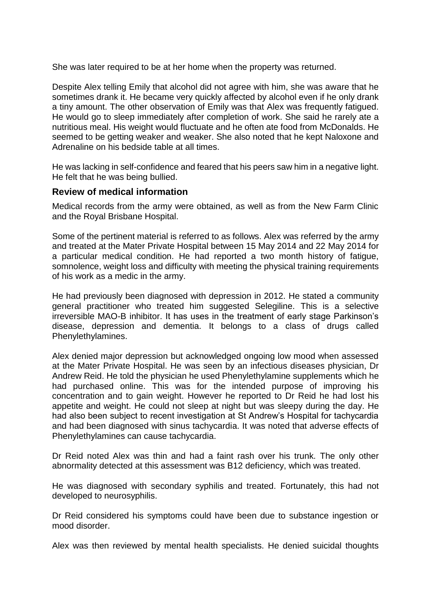She was later required to be at her home when the property was returned.

Despite Alex telling Emily that alcohol did not agree with him, she was aware that he sometimes drank it. He became very quickly affected by alcohol even if he only drank a tiny amount. The other observation of Emily was that Alex was frequently fatigued. He would go to sleep immediately after completion of work. She said he rarely ate a nutritious meal. His weight would fluctuate and he often ate food from McDonalds. He seemed to be getting weaker and weaker. She also noted that he kept Naloxone and Adrenaline on his bedside table at all times.

He was lacking in self-confidence and feared that his peers saw him in a negative light. He felt that he was being bullied.

#### **Review of medical information**

Medical records from the army were obtained, as well as from the New Farm Clinic and the Royal Brisbane Hospital.

Some of the pertinent material is referred to as follows. Alex was referred by the army and treated at the Mater Private Hospital between 15 May 2014 and 22 May 2014 for a particular medical condition. He had reported a two month history of fatigue, somnolence, weight loss and difficulty with meeting the physical training requirements of his work as a medic in the army.

He had previously been diagnosed with depression in 2012. He stated a community general practitioner who treated him suggested Selegiline. This is a selective irreversible MAO-B inhibitor. It has uses in the treatment of early stage Parkinson's disease, depression and dementia. It belongs to a class of drugs called Phenylethylamines.

Alex denied major depression but acknowledged ongoing low mood when assessed at the Mater Private Hospital. He was seen by an infectious diseases physician, Dr Andrew Reid. He told the physician he used Phenylethylamine supplements which he had purchased online. This was for the intended purpose of improving his concentration and to gain weight. However he reported to Dr Reid he had lost his appetite and weight. He could not sleep at night but was sleepy during the day. He had also been subject to recent investigation at St Andrew's Hospital for tachycardia and had been diagnosed with sinus tachycardia. It was noted that adverse effects of Phenylethylamines can cause tachycardia.

Dr Reid noted Alex was thin and had a faint rash over his trunk. The only other abnormality detected at this assessment was B12 deficiency, which was treated.

He was diagnosed with secondary syphilis and treated. Fortunately, this had not developed to neurosyphilis.

Dr Reid considered his symptoms could have been due to substance ingestion or mood disorder.

Alex was then reviewed by mental health specialists. He denied suicidal thoughts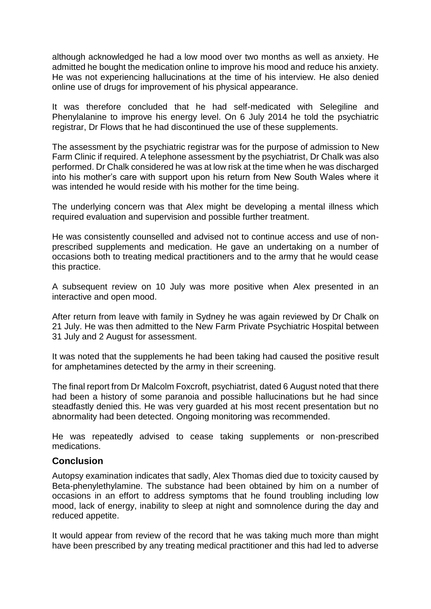although acknowledged he had a low mood over two months as well as anxiety. He admitted he bought the medication online to improve his mood and reduce his anxiety. He was not experiencing hallucinations at the time of his interview. He also denied online use of drugs for improvement of his physical appearance.

It was therefore concluded that he had self-medicated with Selegiline and Phenylalanine to improve his energy level. On 6 July 2014 he told the psychiatric registrar, Dr Flows that he had discontinued the use of these supplements.

The assessment by the psychiatric registrar was for the purpose of admission to New Farm Clinic if required. A telephone assessment by the psychiatrist, Dr Chalk was also performed. Dr Chalk considered he was at low risk at the time when he was discharged into his mother's care with support upon his return from New South Wales where it was intended he would reside with his mother for the time being.

The underlying concern was that Alex might be developing a mental illness which required evaluation and supervision and possible further treatment.

He was consistently counselled and advised not to continue access and use of nonprescribed supplements and medication. He gave an undertaking on a number of occasions both to treating medical practitioners and to the army that he would cease this practice.

A subsequent review on 10 July was more positive when Alex presented in an interactive and open mood.

After return from leave with family in Sydney he was again reviewed by Dr Chalk on 21 July. He was then admitted to the New Farm Private Psychiatric Hospital between 31 July and 2 August for assessment.

It was noted that the supplements he had been taking had caused the positive result for amphetamines detected by the army in their screening.

The final report from Dr Malcolm Foxcroft, psychiatrist, dated 6 August noted that there had been a history of some paranoia and possible hallucinations but he had since steadfastly denied this. He was very guarded at his most recent presentation but no abnormality had been detected. Ongoing monitoring was recommended.

He was repeatedly advised to cease taking supplements or non-prescribed medications.

## **Conclusion**

Autopsy examination indicates that sadly, Alex Thomas died due to toxicity caused by Beta-phenylethylamine. The substance had been obtained by him on a number of occasions in an effort to address symptoms that he found troubling including low mood, lack of energy, inability to sleep at night and somnolence during the day and reduced appetite.

It would appear from review of the record that he was taking much more than might have been prescribed by any treating medical practitioner and this had led to adverse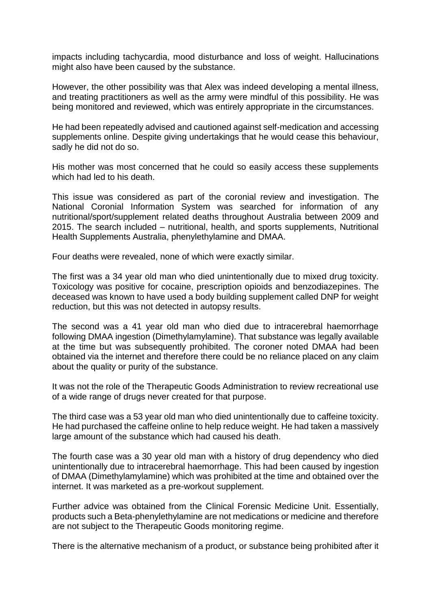impacts including tachycardia, mood disturbance and loss of weight. Hallucinations might also have been caused by the substance.

However, the other possibility was that Alex was indeed developing a mental illness, and treating practitioners as well as the army were mindful of this possibility. He was being monitored and reviewed, which was entirely appropriate in the circumstances.

He had been repeatedly advised and cautioned against self-medication and accessing supplements online. Despite giving undertakings that he would cease this behaviour, sadly he did not do so.

His mother was most concerned that he could so easily access these supplements which had led to his death.

This issue was considered as part of the coronial review and investigation. The National Coronial Information System was searched for information of any nutritional/sport/supplement related deaths throughout Australia between 2009 and 2015. The search included – nutritional, health, and sports supplements, Nutritional Health Supplements Australia, phenylethylamine and DMAA.

Four deaths were revealed, none of which were exactly similar.

The first was a 34 year old man who died unintentionally due to mixed drug toxicity. Toxicology was positive for cocaine, prescription opioids and benzodiazepines. The deceased was known to have used a body building supplement called DNP for weight reduction, but this was not detected in autopsy results.

The second was a 41 year old man who died due to intracerebral haemorrhage following DMAA ingestion (Dimethylamylamine). That substance was legally available at the time but was subsequently prohibited. The coroner noted DMAA had been obtained via the internet and therefore there could be no reliance placed on any claim about the quality or purity of the substance.

It was not the role of the Therapeutic Goods Administration to review recreational use of a wide range of drugs never created for that purpose.

The third case was a 53 year old man who died unintentionally due to caffeine toxicity. He had purchased the caffeine online to help reduce weight. He had taken a massively large amount of the substance which had caused his death.

The fourth case was a 30 year old man with a history of drug dependency who died unintentionally due to intracerebral haemorrhage. This had been caused by ingestion of DMAA (Dimethylamylamine) which was prohibited at the time and obtained over the internet. It was marketed as a pre-workout supplement.

Further advice was obtained from the Clinical Forensic Medicine Unit. Essentially, products such a Beta-phenylethylamine are not medications or medicine and therefore are not subject to the Therapeutic Goods monitoring regime.

There is the alternative mechanism of a product, or substance being prohibited after it